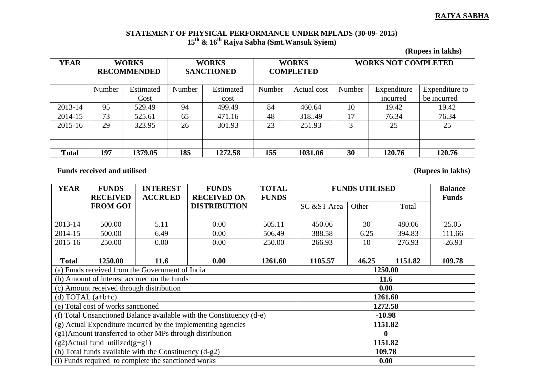## **RAJYA SABHA**

## **STATEMENT OF PHYSICAL PERFORMANCE UNDER MPLADS (30-09- 2015) 15th & 16th Rajya Sabha (Smt.Wansuk Syiem)**

**(Rupees in lakhs)**

| <b>YEAR</b>  | <b>WORKS</b><br><b>RECOMMENDED</b> |           | <b>WORKS</b><br><b>SANCTIONED</b> |           | <b>WORKS</b><br><b>COMPLETED</b> |             | <b>WORKS NOT COMPLETED</b> |             |                |
|--------------|------------------------------------|-----------|-----------------------------------|-----------|----------------------------------|-------------|----------------------------|-------------|----------------|
|              | Number                             | Estimated | Number                            | Estimated | Number                           | Actual cost | Number                     | Expenditure | Expenditure to |
|              |                                    | Cost      |                                   | cost      |                                  |             |                            | incurred    | be incurred    |
| 2013-14      | 95                                 | 529.49    | 94                                | 499.49    | 84                               | 460.64      | 10                         | 19.42       | 19.42          |
| 2014-15      | 73                                 | 525.61    | 65                                | 471.16    | 48                               | 318.49      | 17                         | 76.34       | 76.34          |
| 2015-16      | 29                                 | 323.95    | 26                                | 301.93    | 23                               | 251.93      | 3                          | 25          | 25             |
|              |                                    |           |                                   |           |                                  |             |                            |             |                |
|              |                                    |           |                                   |           |                                  |             |                            |             |                |
| <b>Total</b> | 197                                | 1379.05   | 185                               | 1272.58   | 155                              | 1031.06     | 30                         | 120.76      | 120.76         |

Funds received and utilised (Rupees in lakhs)

| <b>YEAR</b>  | <b>FUNDS</b>                             | <b>INTEREST</b>                                                      | <b>FUNDS</b>        | <b>TOTAL</b> | <b>FUNDS UTILISED</b> |       |         | <b>Balance</b> |  |
|--------------|------------------------------------------|----------------------------------------------------------------------|---------------------|--------------|-----------------------|-------|---------|----------------|--|
|              | <b>RECEIVED</b>                          | <b>ACCRUED</b>                                                       | <b>RECEIVED ON</b>  | <b>FUNDS</b> |                       |       |         | <b>Funds</b>   |  |
|              | <b>FROM GOI</b>                          |                                                                      | <b>DISTRIBUTION</b> |              | SC &ST Area           | Other | Total   |                |  |
|              |                                          |                                                                      |                     |              |                       |       |         |                |  |
| 2013-14      | 500.00                                   | 5.11                                                                 | 0.00                | 505.11       | 450.06                | 30    | 480.06  | 25.05          |  |
| 2014-15      | 500.00                                   | 6.49                                                                 | 0.00                | 506.49       | 388.58                | 6.25  | 394.83  | 111.66         |  |
| 2015-16      | 250.00                                   | 0.00                                                                 | 0.00                | 250.00       | 266.93                | 10    | 276.93  | $-26.93$       |  |
|              |                                          |                                                                      |                     |              |                       |       |         |                |  |
| <b>Total</b> | 1250.00                                  | <b>11.6</b>                                                          | 0.00                | 1261.60      | 1105.57               | 46.25 | 1151.82 | 109.78         |  |
|              |                                          | (a) Funds received from the Government of India                      |                     |              | 1250.00               |       |         |                |  |
|              |                                          | (b) Amount of interest accrued on the funds                          | <b>11.6</b>         |              |                       |       |         |                |  |
|              | (c) Amount received through distribution |                                                                      | 0.00                |              |                       |       |         |                |  |
|              | (d) TOTAL $(a+b+c)$                      |                                                                      | 1261.60             |              |                       |       |         |                |  |
|              | (e) Total cost of works sanctioned       |                                                                      | 1272.58             |              |                       |       |         |                |  |
|              |                                          | (f) Total Unsanctioned Balance available with the Constituency (d-e) | $-10.98$            |              |                       |       |         |                |  |
|              |                                          | (g) Actual Expenditure incurred by the implementing agencies         | 1151.82             |              |                       |       |         |                |  |
|              |                                          | (g1) Amount transferred to other MPs through distribution            |                     |              |                       |       |         |                |  |
|              | $(g2)$ Actual fund utilized $(g+g1)$     |                                                                      | 1151.82             |              |                       |       |         |                |  |
|              |                                          | (h) Total funds available with the Constituency $(d-g2)$             | 109.78              |              |                       |       |         |                |  |
|              |                                          | (i) Funds required to complete the sanctioned works                  | 0.00                |              |                       |       |         |                |  |